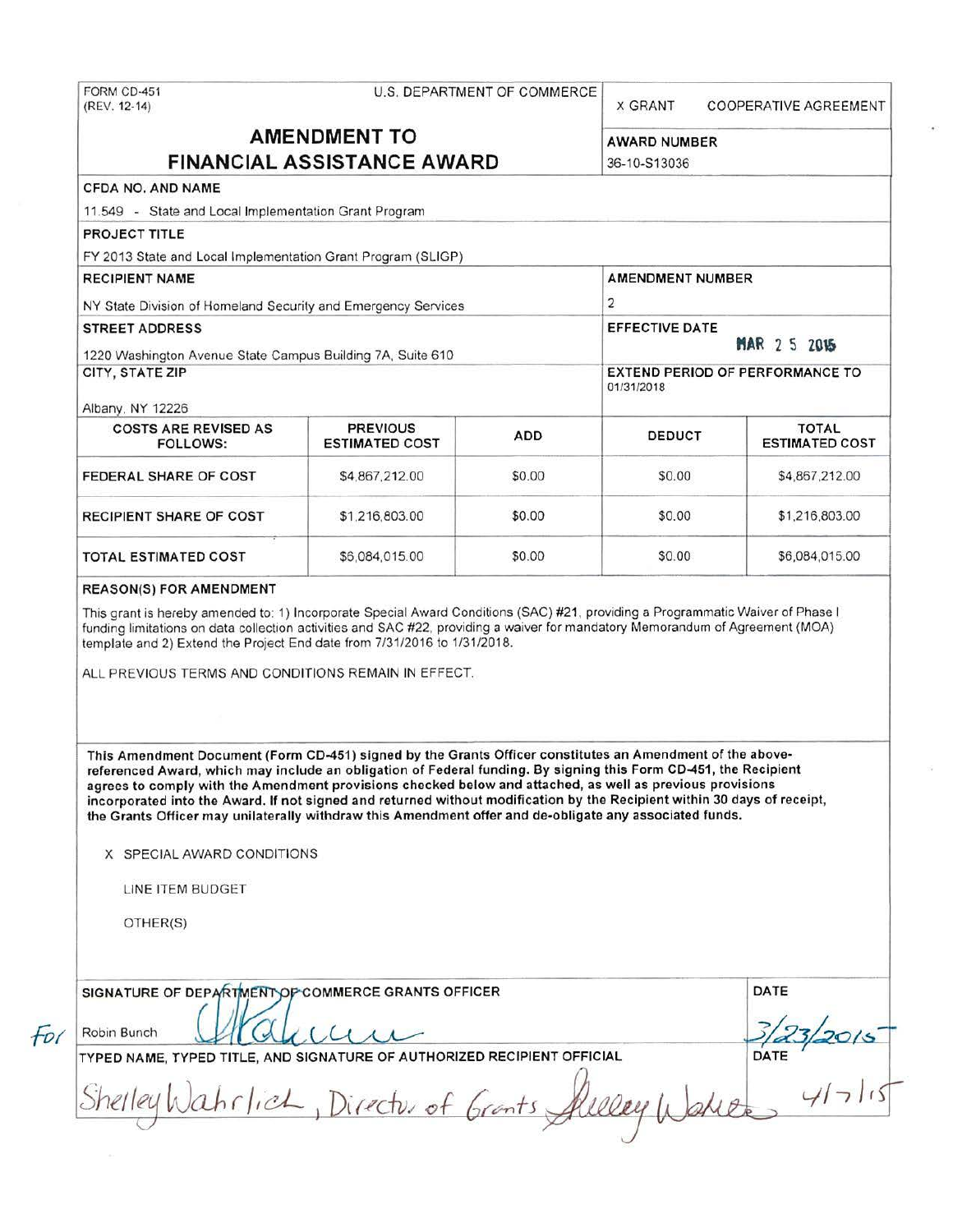# FORM C0-451 U.S. DEPARTMENT OF COMMERCE

**X GRANT COOPERATIVE AGREEMENT** 

## **AMENDMENT TO** AWARD NUMBER **FINANCIAL ASSISTANCE AWARD** 36-10-S13036

### CFDA NO. AND NAME

11 .549 • State and Local Implementation Grant Program

PROJECT TITLE

FY 2013 State and Local Implementation Grant Program (SLIGP)

RECIPIENT NAME AMENOMENT NUMBER NY State Division of Homeland Security and Emergency Services 2 STREET ADDRESS EFFECTIVE DATE: A STREET ADDRESS EFFECTIVE DATE: 1220 Washington Avenue State Campus Building 7A, Suite 610 **"AR 2 S 2015"** CITY, STATE ZIP EXTEND PERIOD OF PERFORMANCE TO 01/31/2018

Albany. NY 12226

| <b>COSTS ARE REVISED AS</b><br>FOLLOWS: | <b>PREVIOUS</b><br><b>ESTIMATED COST</b> | <b>ADD</b> | <b>DEDUCT</b> | <b>TOTAL</b><br><b>ESTIMATED COST</b> |
|-----------------------------------------|------------------------------------------|------------|---------------|---------------------------------------|
| FEDERAL SHARE OF COST                   | \$4,867,212.00                           | \$0.00     | \$0.00        | \$4,867,212.00                        |
| <b>RECIPIENT SHARE OF COST</b>          | \$1,216,803.00                           | \$0.00     | \$0.00        | \$1,216,803.00                        |
| <b>TOTAL ESTIMATED COST</b>             | \$6,084,015.00                           | \$0.00     | \$0.00        | \$6,084,015.00                        |

#### REASON(S) FOR AMENDMENT

This grant is hereby amended to: 1) Incorporate Special Award Conditions (SAC) #2 1. providing a Programmatic Waiver of Phase I funding limitations on data collection activities and SAC #22, providing a waiver for mandatory Memorandum of Agreement (MOA) template and 2) Extend the Project End date from 7/31/2016 to 1/31/2018.

ALL PREVIOUS TERMS AND CONDITIONS REMAIN IN EFFECT.

This Amendment Document (Form CD-451) signed by the Grants Officer constitutes an Amendment of the abovereferenced Award, which may include an obligation of Federal funding. By signing this Form CD-451, the Recipient agrees to comply with the Amendment provisions checked below and attached, as well as previous provisions incorporated into the Award. If not signed and returned without modification by the Recipient within 30 days of receipt, the Grants Officer may unilaterally withdraw this Amendment offer and de-obligate any associated funds.

X SPECIAL AWARD CONDITIONS

LINE ITEM BUDGET

OTHER(S)

| SIGNATURE OF DEPARTMENT OF COMMERCE GRANTS OFFICER                      | DATE |
|-------------------------------------------------------------------------|------|
| Robin Bunch                                                             |      |
| TYPED NAME, TYPED TITLE, AND SIGNATURE OF AUTHORIZED RECIPIENT OFFICIAL | DATE |
| Shelley Wahrlich, Director of Grants Alleley                            |      |